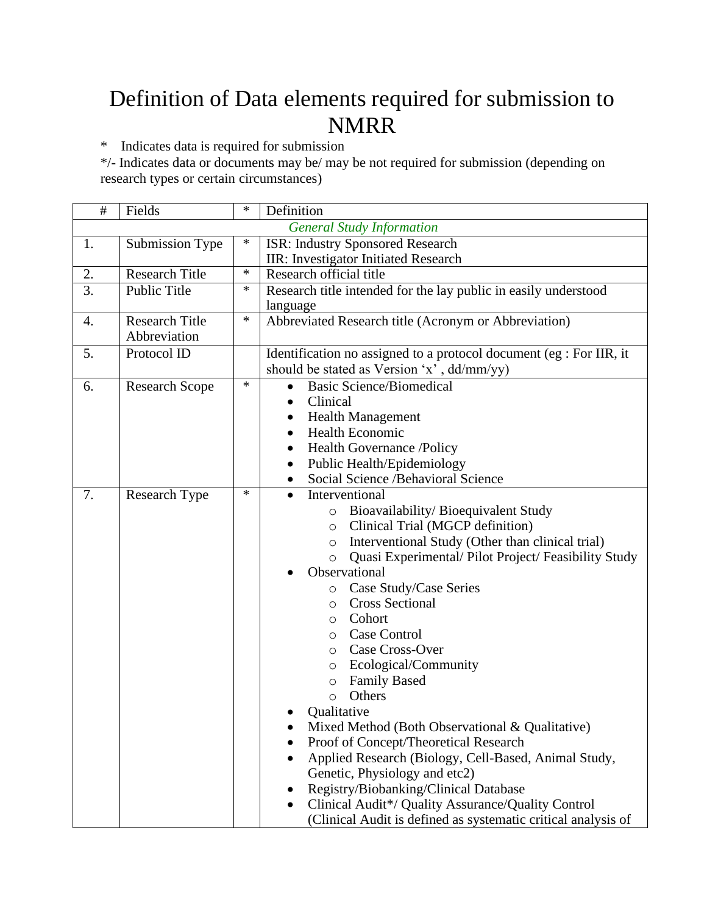## Definition of Data elements required for submission to NMRR

\* Indicates data is required for submission

\*/- Indicates data or documents may be/ may be not required for submission (depending on research types or certain circumstances)

| #  | Fields                                | ∗      | Definition                                                                                                                                                                                                                                                                                                                                                                                                                                                                                                                                                                                                                                                                                                                                                                                                                                                              |
|----|---------------------------------------|--------|-------------------------------------------------------------------------------------------------------------------------------------------------------------------------------------------------------------------------------------------------------------------------------------------------------------------------------------------------------------------------------------------------------------------------------------------------------------------------------------------------------------------------------------------------------------------------------------------------------------------------------------------------------------------------------------------------------------------------------------------------------------------------------------------------------------------------------------------------------------------------|
|    |                                       |        | <b>General Study Information</b>                                                                                                                                                                                                                                                                                                                                                                                                                                                                                                                                                                                                                                                                                                                                                                                                                                        |
| 1. | Submission Type                       | ∗      | <b>ISR: Industry Sponsored Research</b><br>IIR: Investigator Initiated Research                                                                                                                                                                                                                                                                                                                                                                                                                                                                                                                                                                                                                                                                                                                                                                                         |
| 2. | <b>Research Title</b>                 | $\ast$ | Research official title                                                                                                                                                                                                                                                                                                                                                                                                                                                                                                                                                                                                                                                                                                                                                                                                                                                 |
| 3. | Public Title                          | ∗      | Research title intended for the lay public in easily understood<br>language                                                                                                                                                                                                                                                                                                                                                                                                                                                                                                                                                                                                                                                                                                                                                                                             |
| 4. | <b>Research Title</b><br>Abbreviation | $\ast$ | Abbreviated Research title (Acronym or Abbreviation)                                                                                                                                                                                                                                                                                                                                                                                                                                                                                                                                                                                                                                                                                                                                                                                                                    |
| 5. | Protocol ID                           |        | Identification no assigned to a protocol document (eg : For IIR, it<br>should be stated as Version 'x', dd/mm/yy)                                                                                                                                                                                                                                                                                                                                                                                                                                                                                                                                                                                                                                                                                                                                                       |
| 6. | <b>Research Scope</b>                 | $\ast$ | <b>Basic Science/Biomedical</b><br>Clinical<br><b>Health Management</b><br><b>Health Economic</b><br>Health Governance /Policy<br>٠<br>Public Health/Epidemiology<br>$\bullet$<br>Social Science /Behavioral Science<br>$\bullet$                                                                                                                                                                                                                                                                                                                                                                                                                                                                                                                                                                                                                                       |
| 7. | Research Type                         | ∗      | Interventional<br>$\bullet$<br>Bioavailability/Bioequivalent Study<br>$\circ$<br>Clinical Trial (MGCP definition)<br>$\circ$<br>Interventional Study (Other than clinical trial)<br>$\circ$<br>Quasi Experimental/ Pilot Project/ Feasibility Study<br>$\circ$<br>Observational<br>Case Study/Case Series<br>O<br><b>Cross Sectional</b><br>O<br>Cohort<br>O<br>Case Control<br>$\circ$<br>Case Cross-Over<br>O<br>Ecological/Community<br>O<br><b>Family Based</b><br>$\circ$<br>Others<br>$\circ$<br>Qualitative<br>Mixed Method (Both Observational & Qualitative)<br>Proof of Concept/Theoretical Research<br>Applied Research (Biology, Cell-Based, Animal Study,<br>Genetic, Physiology and etc2)<br>Registry/Biobanking/Clinical Database<br>Clinical Audit*/ Quality Assurance/Quality Control<br>(Clinical Audit is defined as systematic critical analysis of |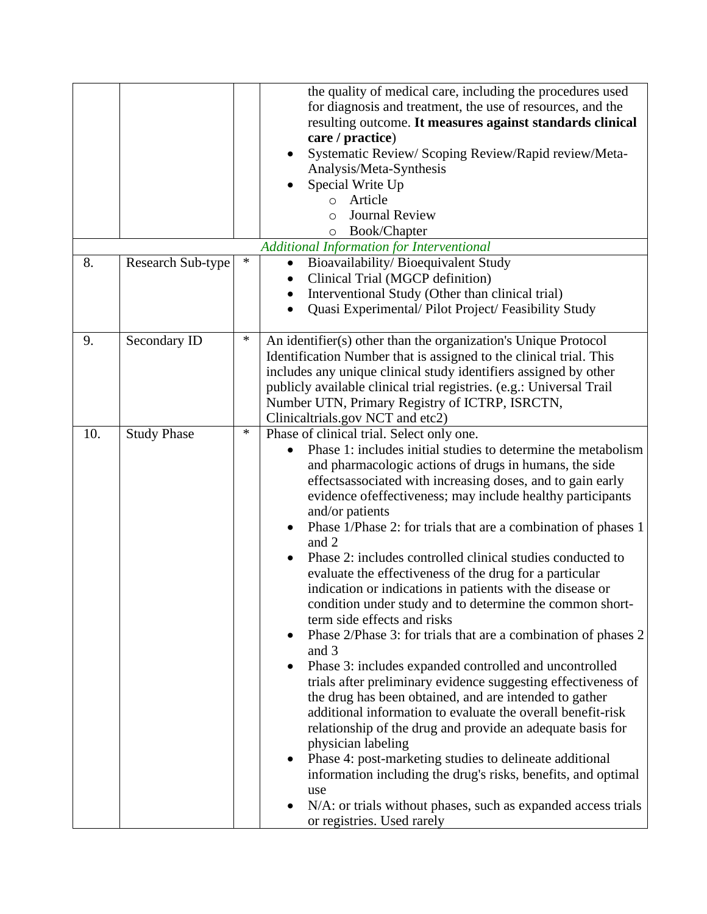|     |                    |        | the quality of medical care, including the procedures used<br>for diagnosis and treatment, the use of resources, and the<br>resulting outcome. It measures against standards clinical<br>care / practice)<br>Systematic Review/Scoping Review/Rapid review/Meta-<br>Analysis/Meta-Synthesis<br>Special Write Up<br>Article<br>$\circ$<br><b>Journal Review</b><br>$\circ$<br>Book/Chapter<br>$\circ$                                                                                                                                                                                                                                                                                                                                                                                                                                                                                                                                                                                                                                                                                                                                                                                                                                                                                                                                   |
|-----|--------------------|--------|----------------------------------------------------------------------------------------------------------------------------------------------------------------------------------------------------------------------------------------------------------------------------------------------------------------------------------------------------------------------------------------------------------------------------------------------------------------------------------------------------------------------------------------------------------------------------------------------------------------------------------------------------------------------------------------------------------------------------------------------------------------------------------------------------------------------------------------------------------------------------------------------------------------------------------------------------------------------------------------------------------------------------------------------------------------------------------------------------------------------------------------------------------------------------------------------------------------------------------------------------------------------------------------------------------------------------------------|
|     |                    |        | <b>Additional Information for Interventional</b>                                                                                                                                                                                                                                                                                                                                                                                                                                                                                                                                                                                                                                                                                                                                                                                                                                                                                                                                                                                                                                                                                                                                                                                                                                                                                       |
| 8.  | Research Sub-type  | ∗      | Bioavailability/Bioequivalent Study<br>$\bullet$<br>Clinical Trial (MGCP definition)<br>$\bullet$<br>Interventional Study (Other than clinical trial)<br>$\bullet$<br>Quasi Experimental/ Pilot Project/ Feasibility Study<br>$\bullet$                                                                                                                                                                                                                                                                                                                                                                                                                                                                                                                                                                                                                                                                                                                                                                                                                                                                                                                                                                                                                                                                                                |
| 9.  | Secondary ID       | $\ast$ | An identifier(s) other than the organization's Unique Protocol<br>Identification Number that is assigned to the clinical trial. This<br>includes any unique clinical study identifiers assigned by other<br>publicly available clinical trial registries. (e.g.: Universal Trail<br>Number UTN, Primary Registry of ICTRP, ISRCTN,<br>Clinicaltrials.gov NCT and etc2)                                                                                                                                                                                                                                                                                                                                                                                                                                                                                                                                                                                                                                                                                                                                                                                                                                                                                                                                                                 |
| 10. | <b>Study Phase</b> | $\ast$ | Phase of clinical trial. Select only one.<br>Phase 1: includes initial studies to determine the metabolism<br>and pharmacologic actions of drugs in humans, the side<br>effects associated with increasing doses, and to gain early<br>evidence of effectiveness; may include healthy participants<br>and/or patients<br>Phase 1/Phase 2: for trials that are a combination of phases 1<br>and 2<br>Phase 2: includes controlled clinical studies conducted to<br>evaluate the effectiveness of the drug for a particular<br>indication or indications in patients with the disease or<br>condition under study and to determine the common short-<br>term side effects and risks<br>Phase 2/Phase 3: for trials that are a combination of phases 2<br>and 3<br>Phase 3: includes expanded controlled and uncontrolled<br>trials after preliminary evidence suggesting effectiveness of<br>the drug has been obtained, and are intended to gather<br>additional information to evaluate the overall benefit-risk<br>relationship of the drug and provide an adequate basis for<br>physician labeling<br>Phase 4: post-marketing studies to delineate additional<br>information including the drug's risks, benefits, and optimal<br>use<br>N/A: or trials without phases, such as expanded access trials<br>or registries. Used rarely |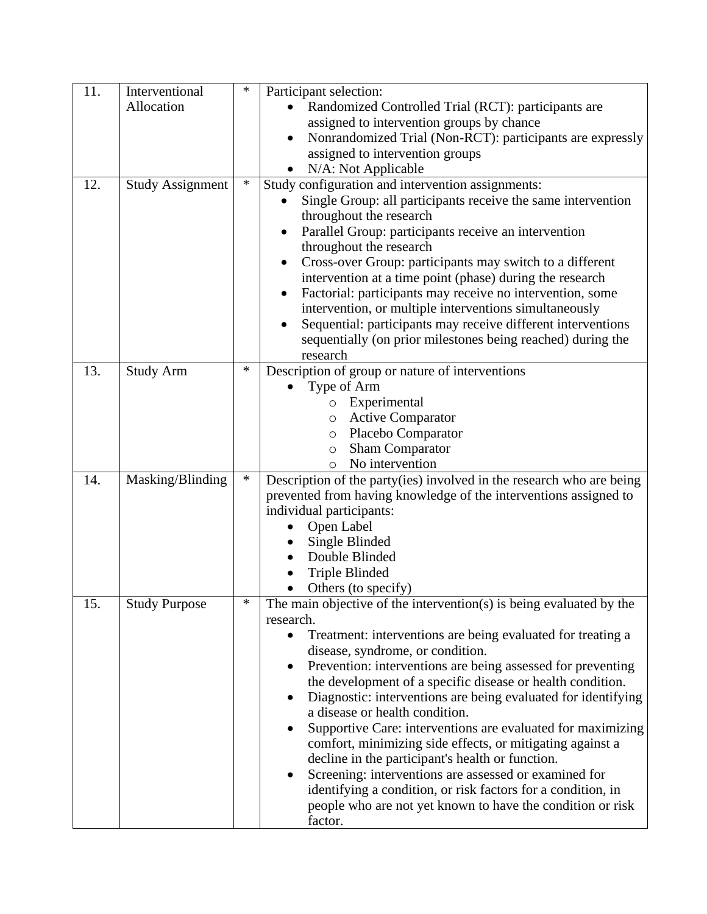| 11. | Interventional          | ∗      | Participant selection:                                                                                                    |
|-----|-------------------------|--------|---------------------------------------------------------------------------------------------------------------------------|
|     | Allocation              |        | Randomized Controlled Trial (RCT): participants are                                                                       |
|     |                         |        | assigned to intervention groups by chance                                                                                 |
|     |                         |        | Nonrandomized Trial (Non-RCT): participants are expressly                                                                 |
|     |                         |        | assigned to intervention groups                                                                                           |
|     |                         |        | N/A: Not Applicable                                                                                                       |
| 12. | <b>Study Assignment</b> | $\ast$ | Study configuration and intervention assignments:                                                                         |
|     |                         |        | Single Group: all participants receive the same intervention                                                              |
|     |                         |        | throughout the research                                                                                                   |
|     |                         |        | Parallel Group: participants receive an intervention<br>$\bullet$                                                         |
|     |                         |        | throughout the research                                                                                                   |
|     |                         |        | Cross-over Group: participants may switch to a different<br>$\bullet$                                                     |
|     |                         |        | intervention at a time point (phase) during the research                                                                  |
|     |                         |        | Factorial: participants may receive no intervention, some<br>$\bullet$                                                    |
|     |                         |        | intervention, or multiple interventions simultaneously                                                                    |
|     |                         |        | Sequential: participants may receive different interventions<br>٠                                                         |
|     |                         |        | sequentially (on prior milestones being reached) during the                                                               |
|     |                         |        | research                                                                                                                  |
| 13. | <b>Study Arm</b>        | ∗      | Description of group or nature of interventions                                                                           |
|     |                         |        | Type of Arm                                                                                                               |
|     |                         |        | Experimental<br>$\circ$<br><b>Active Comparator</b>                                                                       |
|     |                         |        | $\circ$<br>Placebo Comparator<br>$\circ$                                                                                  |
|     |                         |        | <b>Sham Comparator</b><br>$\circ$                                                                                         |
|     |                         |        | No intervention<br>$\circ$                                                                                                |
| 14. | Masking/Blinding        | $\ast$ | Description of the party(ies) involved in the research who are being                                                      |
|     |                         |        | prevented from having knowledge of the interventions assigned to                                                          |
|     |                         |        | individual participants:                                                                                                  |
|     |                         |        | Open Label                                                                                                                |
|     |                         |        | Single Blinded                                                                                                            |
|     |                         |        | Double Blinded                                                                                                            |
|     |                         |        | <b>Triple Blinded</b>                                                                                                     |
|     |                         |        | Others (to specify)                                                                                                       |
| 15. | <b>Study Purpose</b>    | ∗      | The main objective of the intervention(s) is being evaluated by the                                                       |
|     |                         |        | research.                                                                                                                 |
|     |                         |        | Treatment: interventions are being evaluated for treating a                                                               |
|     |                         |        | disease, syndrome, or condition.                                                                                          |
|     |                         |        | Prevention: interventions are being assessed for preventing<br>the development of a specific disease or health condition. |
|     |                         |        | Diagnostic: interventions are being evaluated for identifying                                                             |
|     |                         |        | a disease or health condition.                                                                                            |
|     |                         |        | Supportive Care: interventions are evaluated for maximizing                                                               |
|     |                         |        | comfort, minimizing side effects, or mitigating against a                                                                 |
|     |                         |        | decline in the participant's health or function.                                                                          |
|     |                         |        | Screening: interventions are assessed or examined for                                                                     |
|     |                         |        | identifying a condition, or risk factors for a condition, in                                                              |
|     |                         |        | people who are not yet known to have the condition or risk                                                                |
|     |                         |        | factor.                                                                                                                   |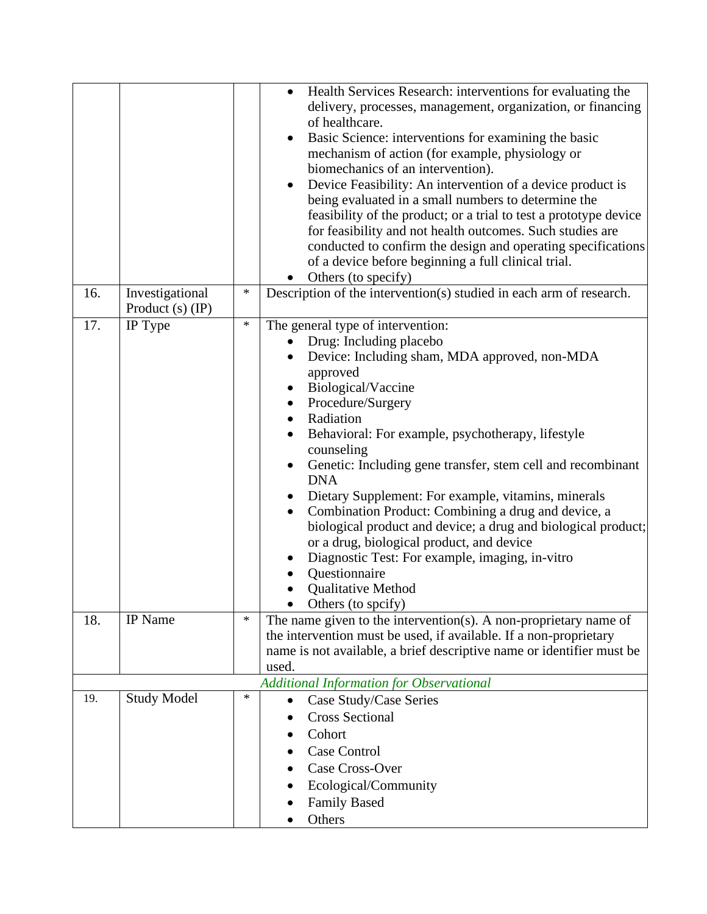|     |                                       |        | Health Services Research: interventions for evaluating the<br>$\bullet$<br>delivery, processes, management, organization, or financing<br>of healthcare.<br>Basic Science: interventions for examining the basic<br>$\bullet$<br>mechanism of action (for example, physiology or<br>biomechanics of an intervention).<br>Device Feasibility: An intervention of a device product is<br>being evaluated in a small numbers to determine the                                                                                                                                                                                                                                                              |
|-----|---------------------------------------|--------|---------------------------------------------------------------------------------------------------------------------------------------------------------------------------------------------------------------------------------------------------------------------------------------------------------------------------------------------------------------------------------------------------------------------------------------------------------------------------------------------------------------------------------------------------------------------------------------------------------------------------------------------------------------------------------------------------------|
|     |                                       |        | feasibility of the product; or a trial to test a prototype device<br>for feasibility and not health outcomes. Such studies are<br>conducted to confirm the design and operating specifications<br>of a device before beginning a full clinical trial.<br>Others (to specify)                                                                                                                                                                                                                                                                                                                                                                                                                            |
| 16. | Investigational<br>Product $(s)$ (IP) | ∗      | Description of the intervention(s) studied in each arm of research.                                                                                                                                                                                                                                                                                                                                                                                                                                                                                                                                                                                                                                     |
| 17. | IP Type                               | $\ast$ | The general type of intervention:<br>Drug: Including placebo<br>Device: Including sham, MDA approved, non-MDA<br>approved<br>Biological/Vaccine<br>Procedure/Surgery<br>Radiation<br>$\bullet$<br>Behavioral: For example, psychotherapy, lifestyle<br>counseling<br>Genetic: Including gene transfer, stem cell and recombinant<br>$\bullet$<br><b>DNA</b><br>Dietary Supplement: For example, vitamins, minerals<br>Combination Product: Combining a drug and device, a<br>biological product and device; a drug and biological product;<br>or a drug, biological product, and device<br>Diagnostic Test: For example, imaging, in-vitro<br>Questionnaire<br>Qualitative Method<br>Others (to spcify) |
| 18. | <b>IP</b> Name                        | $\ast$ | The name given to the intervention(s). A non-proprietary name of<br>the intervention must be used, if available. If a non-proprietary<br>name is not available, a brief descriptive name or identifier must be<br>used.                                                                                                                                                                                                                                                                                                                                                                                                                                                                                 |
| 19. | <b>Study Model</b>                    | $\ast$ | <b>Additional Information for Observational</b><br>Case Study/Case Series<br>$\bullet$<br><b>Cross Sectional</b><br>Cohort<br>Case Control<br>Case Cross-Over<br>Ecological/Community<br><b>Family Based</b><br>Others                                                                                                                                                                                                                                                                                                                                                                                                                                                                                  |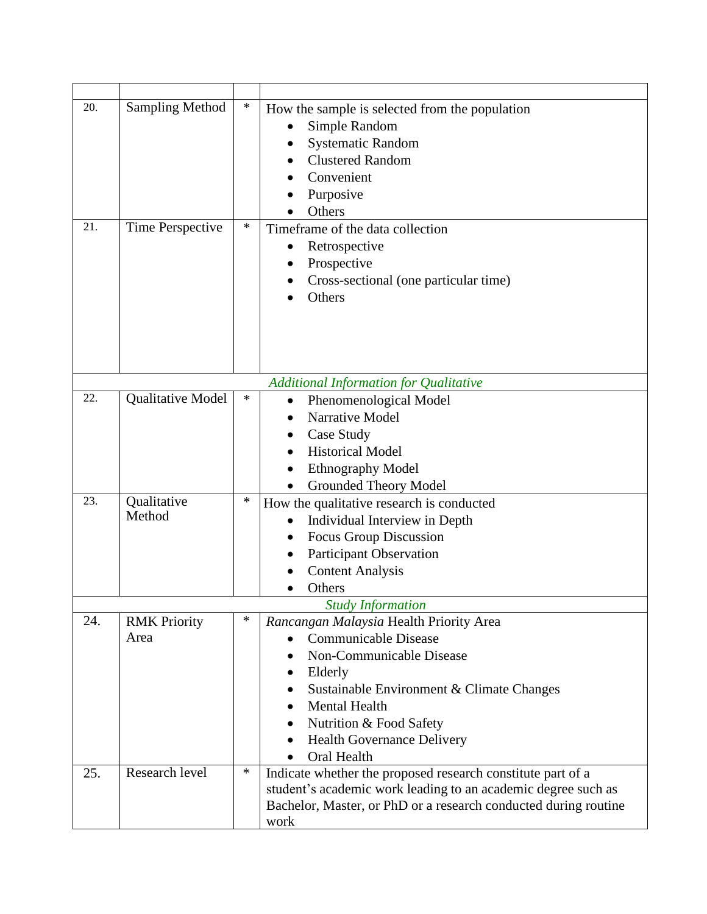| 20.<br>21. | <b>Sampling Method</b><br>Time Perspective | $\ast$<br>∗ | How the sample is selected from the population<br>Simple Random<br><b>Systematic Random</b><br><b>Clustered Random</b><br>Convenient<br>Purposive<br>Others<br>Timeframe of the data collection<br>Retrospective<br>Prospective<br>Cross-sectional (one particular time)<br>Others |
|------------|--------------------------------------------|-------------|------------------------------------------------------------------------------------------------------------------------------------------------------------------------------------------------------------------------------------------------------------------------------------|
|            |                                            |             |                                                                                                                                                                                                                                                                                    |
|            |                                            |             | <b>Additional Information for Qualitative</b>                                                                                                                                                                                                                                      |
| 22.        | Qualitative Model                          | ∗           | Phenomenological Model<br>$\bullet$<br>Narrative Model<br>Case Study<br><b>Historical Model</b><br><b>Ethnography Model</b><br><b>Grounded Theory Model</b>                                                                                                                        |
| 23.        | Qualitative<br>Method                      | ∗           | How the qualitative research is conducted<br>Individual Interview in Depth<br><b>Focus Group Discussion</b><br><b>Participant Observation</b><br><b>Content Analysis</b><br>Others                                                                                                 |
|            |                                            |             | <b>Study Information</b>                                                                                                                                                                                                                                                           |
| 24.        | <b>RMK Priority</b><br>Area                | ∗           | Rancangan Malaysia Health Priority Area<br><b>Communicable Disease</b><br>Non-Communicable Disease<br>Elderly<br>Sustainable Environment & Climate Changes<br><b>Mental Health</b><br>Nutrition & Food Safety<br><b>Health Governance Delivery</b><br><b>Oral Health</b>           |
| 25.        | Research level                             | ∗           | Indicate whether the proposed research constitute part of a<br>student's academic work leading to an academic degree such as<br>Bachelor, Master, or PhD or a research conducted during routine<br>work                                                                            |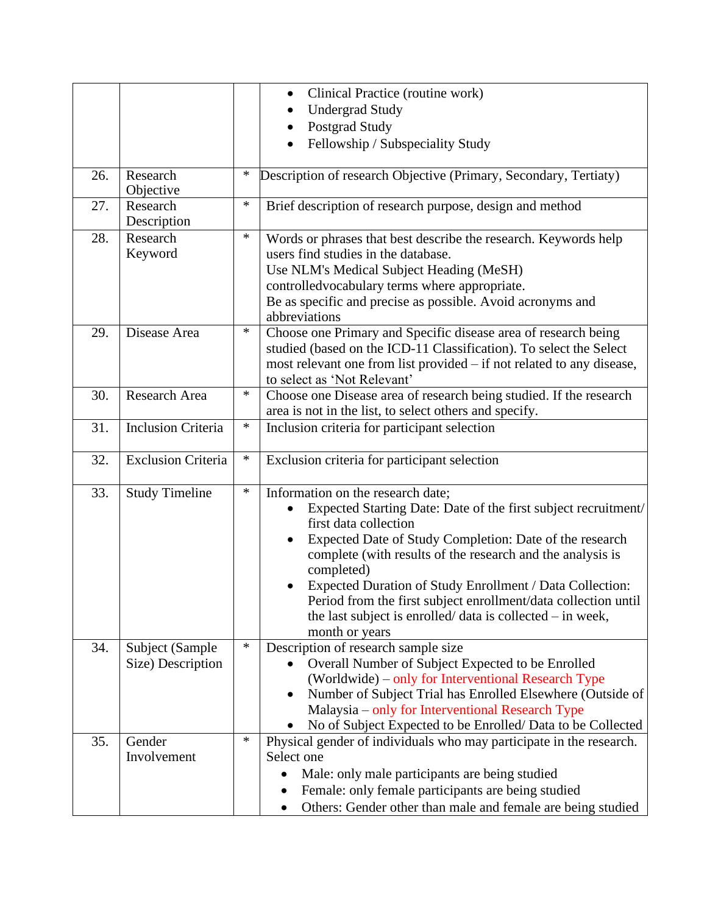|     |                           |        | Clinical Practice (routine work)<br>$\bullet$                                                                                        |
|-----|---------------------------|--------|--------------------------------------------------------------------------------------------------------------------------------------|
|     |                           |        | <b>Undergrad Study</b>                                                                                                               |
|     |                           |        | Postgrad Study                                                                                                                       |
|     |                           |        | Fellowship / Subspeciality Study                                                                                                     |
|     |                           |        |                                                                                                                                      |
| 26. | Research<br>Objective     | *      | Description of research Objective (Primary, Secondary, Tertiaty)                                                                     |
| 27. | Research<br>Description   | $\ast$ | Brief description of research purpose, design and method                                                                             |
| 28. | Research<br>Keyword       | *      | Words or phrases that best describe the research. Keywords help<br>users find studies in the database.                               |
|     |                           |        | Use NLM's Medical Subject Heading (MeSH)                                                                                             |
|     |                           |        | controlledvocabulary terms where appropriate.                                                                                        |
|     |                           |        | Be as specific and precise as possible. Avoid acronyms and<br>abbreviations                                                          |
| 29. | Disease Area              | *      | Choose one Primary and Specific disease area of research being<br>studied (based on the ICD-11 Classification). To select the Select |
|     |                           |        | most relevant one from list provided – if not related to any disease,                                                                |
|     |                           |        | to select as 'Not Relevant'                                                                                                          |
| 30. | Research Area             | ∗      | Choose one Disease area of research being studied. If the research                                                                   |
|     |                           |        | area is not in the list, to select others and specify.                                                                               |
| 31. | <b>Inclusion Criteria</b> | $\ast$ | Inclusion criteria for participant selection                                                                                         |
| 32. | <b>Exclusion Criteria</b> | *      | Exclusion criteria for participant selection                                                                                         |
|     |                           |        |                                                                                                                                      |
| 33. | <b>Study Timeline</b>     | $\ast$ | Information on the research date;                                                                                                    |
|     |                           |        | Expected Starting Date: Date of the first subject recruitment/<br>first data collection                                              |
|     |                           |        | Expected Date of Study Completion: Date of the research<br>$\bullet$                                                                 |
|     |                           |        | complete (with results of the research and the analysis is<br>completed)                                                             |
|     |                           |        | Expected Duration of Study Enrollment / Data Collection:                                                                             |
|     |                           |        | Period from the first subject enrollment/data collection until                                                                       |
|     |                           |        | the last subject is enrolled/ $data$ is collected $-$ in week,                                                                       |
|     |                           |        | month or years                                                                                                                       |
| 34. | Subject (Sample           | $\ast$ | Description of research sample size                                                                                                  |
|     | Size) Description         |        | Overall Number of Subject Expected to be Enrolled                                                                                    |
|     |                           |        | (Worldwide) – only for Interventional Research Type                                                                                  |
|     |                           |        | Number of Subject Trial has Enrolled Elsewhere (Outside of<br>$\bullet$                                                              |
|     |                           |        | Malaysia – only for Interventional Research Type                                                                                     |
|     |                           |        | No of Subject Expected to be Enrolled/Data to be Collected                                                                           |
| 35. | Gender                    | *      | Physical gender of individuals who may participate in the research.                                                                  |
|     | Involvement               |        | Select one                                                                                                                           |
|     |                           |        | Male: only male participants are being studied                                                                                       |
|     |                           |        | Female: only female participants are being studied                                                                                   |
|     |                           |        | Others: Gender other than male and female are being studied                                                                          |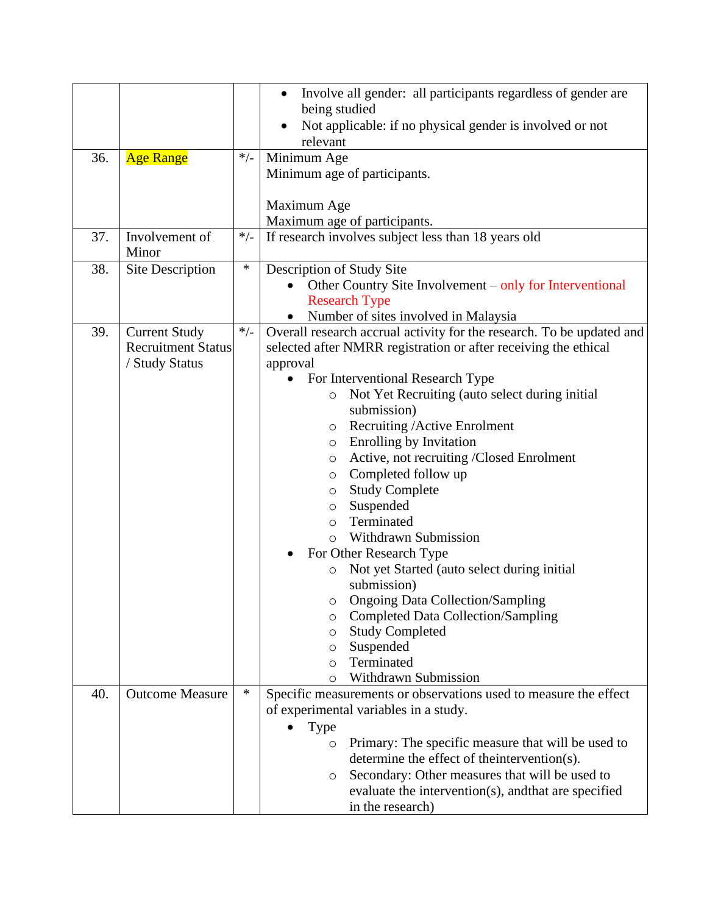|     |                           |        | Involve all gender: all participants regardless of gender are<br>$\bullet$<br>being studied |
|-----|---------------------------|--------|---------------------------------------------------------------------------------------------|
|     |                           |        | Not applicable: if no physical gender is involved or not                                    |
|     |                           |        | relevant                                                                                    |
| 36. | <b>Age Range</b>          | $*/-$  | Minimum Age                                                                                 |
|     |                           |        | Minimum age of participants.                                                                |
|     |                           |        |                                                                                             |
|     |                           |        | Maximum Age                                                                                 |
| 37. | Involvement of            | $*/-$  | Maximum age of participants.                                                                |
|     | Minor                     |        | If research involves subject less than 18 years old                                         |
| 38. | Site Description          | $\ast$ | Description of Study Site                                                                   |
|     |                           |        | Other Country Site Involvement – only for Interventional                                    |
|     |                           |        | <b>Research Type</b>                                                                        |
|     |                           |        | Number of sites involved in Malaysia                                                        |
| 39. | <b>Current Study</b>      | $*/-$  | Overall research accrual activity for the research. To be updated and                       |
|     | <b>Recruitment Status</b> |        | selected after NMRR registration or after receiving the ethical                             |
|     | / Study Status            |        | approval                                                                                    |
|     |                           |        | For Interventional Research Type                                                            |
|     |                           |        | Not Yet Recruiting (auto select during initial<br>$\circ$<br>submission)                    |
|     |                           |        |                                                                                             |
|     |                           |        | Recruiting / Active Enrolment<br>$\circ$                                                    |
|     |                           |        | <b>Enrolling by Invitation</b><br>$\circ$                                                   |
|     |                           |        | Active, not recruiting /Closed Enrolment<br>$\circ$<br>Completed follow up                  |
|     |                           |        | $\circ$                                                                                     |
|     |                           |        | <b>Study Complete</b><br>$\circ$<br>Suspended                                               |
|     |                           |        | $\circ$<br>Terminated                                                                       |
|     |                           |        | $\circ$<br><b>Withdrawn Submission</b><br>$\circ$                                           |
|     |                           |        | For Other Research Type                                                                     |
|     |                           |        | Not yet Started (auto select during initial<br>$\circ$                                      |
|     |                           |        | submission)                                                                                 |
|     |                           |        | o Ongoing Data Collection/Sampling                                                          |
|     |                           |        | <b>Completed Data Collection/Sampling</b><br>O                                              |
|     |                           |        | <b>Study Completed</b><br>$\circ$                                                           |
|     |                           |        | Suspended<br>O                                                                              |
|     |                           |        | Terminated<br>$\circ$                                                                       |
|     |                           |        | Withdrawn Submission<br>O                                                                   |
| 40. | <b>Outcome Measure</b>    | $\ast$ | Specific measurements or observations used to measure the effect                            |
|     |                           |        | of experimental variables in a study.                                                       |
|     |                           |        | Type                                                                                        |
|     |                           |        | Primary: The specific measure that will be used to<br>$\circ$                               |
|     |                           |        | determine the effect of the intervention(s).                                                |
|     |                           |        | Secondary: Other measures that will be used to<br>$\circ$                                   |
|     |                           |        | evaluate the intervention(s), and that are specified                                        |
|     |                           |        | in the research)                                                                            |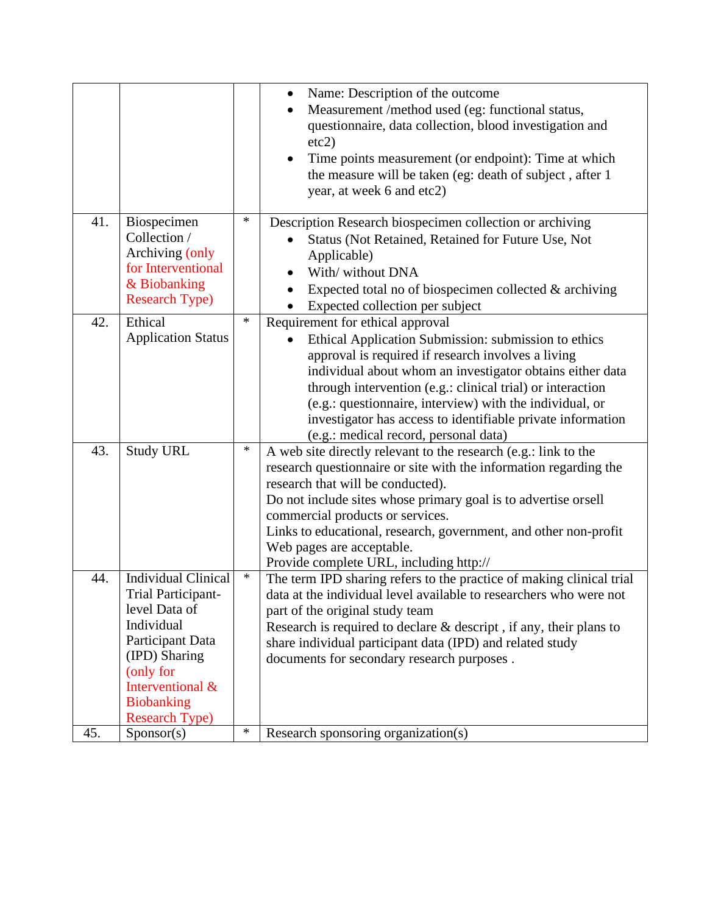|     |                                                                                                                                                                                                     |        | Name: Description of the outcome<br>Measurement /method used (eg: functional status,<br>٠<br>questionnaire, data collection, blood investigation and<br>etc2)<br>Time points measurement (or endpoint): Time at which<br>the measure will be taken (eg: death of subject, after 1<br>year, at week 6 and etc2)                                                                                                                                |
|-----|-----------------------------------------------------------------------------------------------------------------------------------------------------------------------------------------------------|--------|-----------------------------------------------------------------------------------------------------------------------------------------------------------------------------------------------------------------------------------------------------------------------------------------------------------------------------------------------------------------------------------------------------------------------------------------------|
| 41. | Biospecimen<br>Collection /<br>Archiving (only<br>for Interventional<br>& Biobanking<br><b>Research Type)</b>                                                                                       | ∗      | Description Research biospecimen collection or archiving<br>Status (Not Retained, Retained for Future Use, Not<br>Applicable)<br>With/without DNA<br>Expected total no of biospecimen collected $&$ archiving<br>Expected collection per subject                                                                                                                                                                                              |
| 42. | Ethical<br><b>Application Status</b>                                                                                                                                                                | $\ast$ | Requirement for ethical approval<br>Ethical Application Submission: submission to ethics<br>approval is required if research involves a living<br>individual about whom an investigator obtains either data<br>through intervention (e.g.: clinical trial) or interaction<br>(e.g.: questionnaire, interview) with the individual, or<br>investigator has access to identifiable private information<br>(e.g.: medical record, personal data) |
| 43. | <b>Study URL</b>                                                                                                                                                                                    | ∗      | A web site directly relevant to the research (e.g.: link to the<br>research questionnaire or site with the information regarding the<br>research that will be conducted).<br>Do not include sites whose primary goal is to advertise orsell<br>commercial products or services.<br>Links to educational, research, government, and other non-profit<br>Web pages are acceptable.<br>Provide complete URL, including http://                   |
| 44. | <b>Individual Clinical</b><br>Trial Participant-<br>level Data of<br>Individual<br>Participant Data<br>(IPD) Sharing<br>(only for<br>Interventional &<br><b>Biobanking</b><br><b>Research Type)</b> | $\ast$ | The term IPD sharing refers to the practice of making clinical trial<br>data at the individual level available to researchers who were not<br>part of the original study team<br>Research is required to declare $&$ descript, if any, their plans to<br>share individual participant data (IPD) and related study<br>documents for secondary research purposes.                                                                              |
| 45. | Sponsor(s)                                                                                                                                                                                          | ∗      | Research sponsoring organization(s)                                                                                                                                                                                                                                                                                                                                                                                                           |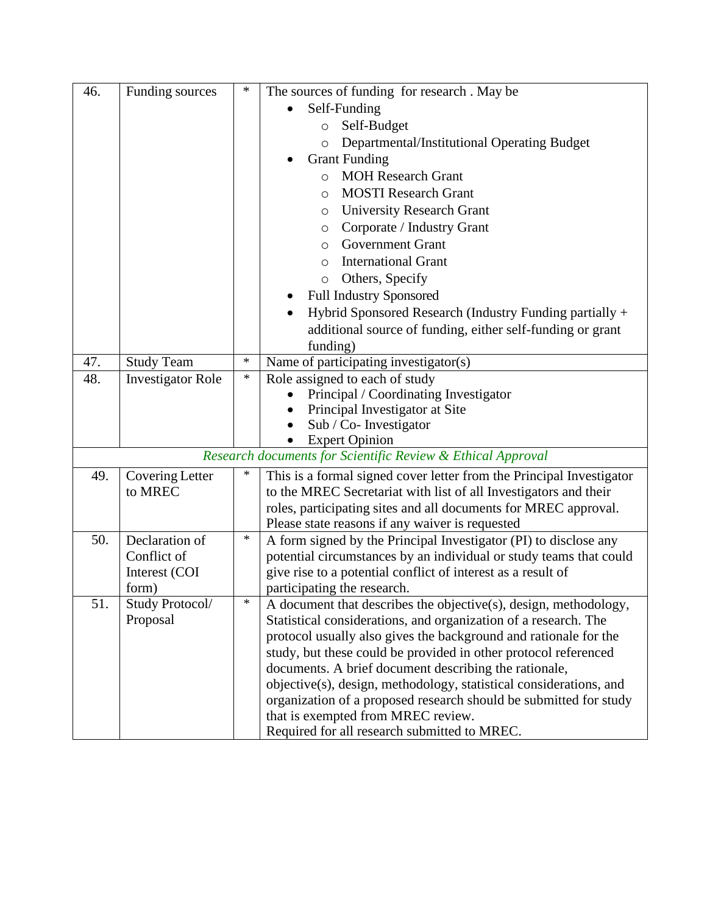| 46. | Funding sources          | ∗      | The sources of funding for research. May be                          |
|-----|--------------------------|--------|----------------------------------------------------------------------|
|     |                          |        | Self-Funding                                                         |
|     |                          |        | Self-Budget<br>$\circ$                                               |
|     |                          |        | Departmental/Institutional Operating Budget<br>$\circ$               |
|     |                          |        | <b>Grant Funding</b>                                                 |
|     |                          |        | <b>MOH Research Grant</b><br>$\circ$                                 |
|     |                          |        | <b>MOSTI</b> Research Grant<br>O                                     |
|     |                          |        |                                                                      |
|     |                          |        | <b>University Research Grant</b><br>O<br>Corporate / Industry Grant  |
|     |                          |        | O<br><b>Government Grant</b>                                         |
|     |                          |        | O                                                                    |
|     |                          |        | <b>International Grant</b><br>O                                      |
|     |                          |        | Others, Specify<br>$\circ$                                           |
|     |                          |        | <b>Full Industry Sponsored</b>                                       |
|     |                          |        | Hybrid Sponsored Research (Industry Funding partially +              |
|     |                          |        | additional source of funding, either self-funding or grant           |
|     |                          |        | funding)                                                             |
| 47. | <b>Study Team</b>        | $\ast$ | Name of participating investigator(s)                                |
| 48. | <b>Investigator Role</b> | $\ast$ | Role assigned to each of study                                       |
|     |                          |        | Principal / Coordinating Investigator                                |
|     |                          |        | Principal Investigator at Site                                       |
|     |                          |        | Sub / Co- Investigator<br>$\bullet$                                  |
|     |                          |        | <b>Expert Opinion</b>                                                |
|     |                          |        | Research documents for Scientific Review & Ethical Approval          |
| 49. | <b>Covering Letter</b>   | ∗      | This is a formal signed cover letter from the Principal Investigator |
|     | to MREC                  |        | to the MREC Secretariat with list of all Investigators and their     |
|     |                          |        | roles, participating sites and all documents for MREC approval.      |
|     |                          |        | Please state reasons if any waiver is requested                      |
| 50. | Declaration of           | $\ast$ | A form signed by the Principal Investigator (PI) to disclose any     |
|     | Conflict of              |        | potential circumstances by an individual or study teams that could   |
|     | Interest (COI            |        | give rise to a potential conflict of interest as a result of         |
|     | form)                    |        | participating the research.                                          |
| 51. | Study Protocol/          | $\ast$ | A document that describes the objective(s), design, methodology,     |
|     | Proposal                 |        | Statistical considerations, and organization of a research. The      |
|     |                          |        | protocol usually also gives the background and rationale for the     |
|     |                          |        | study, but these could be provided in other protocol referenced      |
|     |                          |        | documents. A brief document describing the rationale,                |
|     |                          |        | objective(s), design, methodology, statistical considerations, and   |
|     |                          |        | organization of a proposed research should be submitted for study    |
|     |                          |        | that is exempted from MREC review.                                   |
|     |                          |        | Required for all research submitted to MREC.                         |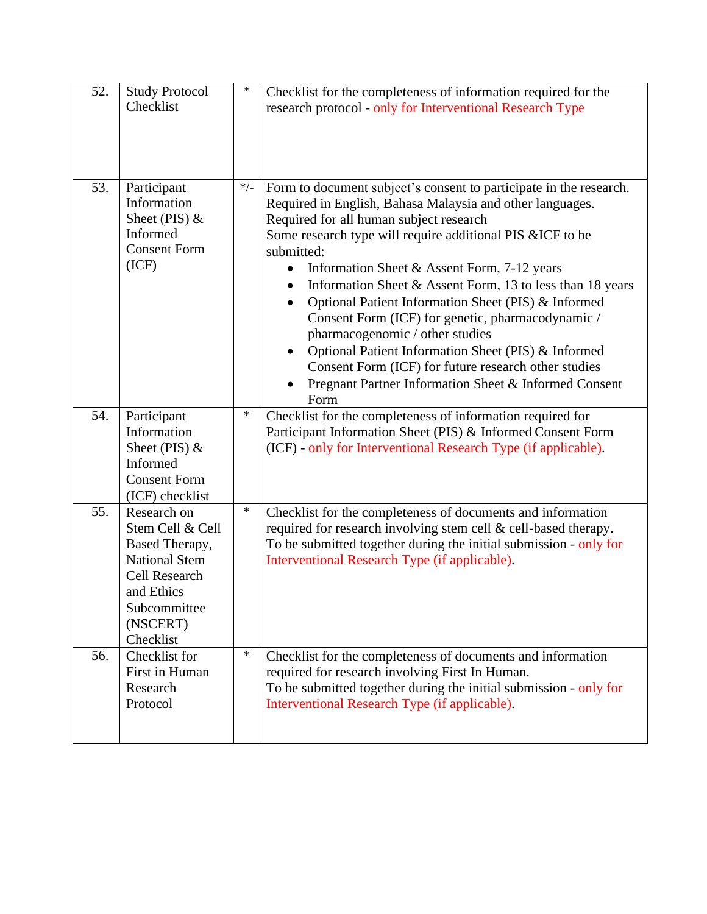| 52. | <b>Study Protocol</b><br>Checklist                                                                                                                       | $\ast$ | Checklist for the completeness of information required for the<br>research protocol - only for Interventional Research Type                                                                                                                                                                                                                                                                                                                                                                                                                                                                                                                                                                                                                          |
|-----|----------------------------------------------------------------------------------------------------------------------------------------------------------|--------|------------------------------------------------------------------------------------------------------------------------------------------------------------------------------------------------------------------------------------------------------------------------------------------------------------------------------------------------------------------------------------------------------------------------------------------------------------------------------------------------------------------------------------------------------------------------------------------------------------------------------------------------------------------------------------------------------------------------------------------------------|
| 53. | Participant<br>Information<br>Sheet (PIS) &<br>Informed<br><b>Consent Form</b><br>(ICF)                                                                  | $*/-$  | Form to document subject's consent to participate in the research.<br>Required in English, Bahasa Malaysia and other languages.<br>Required for all human subject research<br>Some research type will require additional PIS &ICF to be<br>submitted:<br>Information Sheet & Assent Form, 7-12 years<br>$\bullet$<br>Information Sheet & Assent Form, 13 to less than 18 years<br>$\bullet$<br>Optional Patient Information Sheet (PIS) & Informed<br>$\bullet$<br>Consent Form (ICF) for genetic, pharmacodynamic /<br>pharmacogenomic / other studies<br>Optional Patient Information Sheet (PIS) & Informed<br>Consent Form (ICF) for future research other studies<br>Pregnant Partner Information Sheet & Informed Consent<br>$\bullet$<br>Form |
| 54. | Participant<br>Information<br>Sheet (PIS) $&$<br>Informed<br><b>Consent Form</b><br>(ICF) checklist                                                      | ∗      | Checklist for the completeness of information required for<br>Participant Information Sheet (PIS) & Informed Consent Form<br>(ICF) - only for Interventional Research Type (if applicable).                                                                                                                                                                                                                                                                                                                                                                                                                                                                                                                                                          |
| 55. | Research on<br>Stem Cell & Cell<br>Based Therapy,<br><b>National Stem</b><br><b>Cell Research</b><br>and Ethics<br>Subcommittee<br>(NSCERT)<br>Checklist | $\ast$ | Checklist for the completeness of documents and information<br>required for research involving stem cell & cell-based therapy.<br>To be submitted together during the initial submission - only for<br>Interventional Research Type (if applicable).                                                                                                                                                                                                                                                                                                                                                                                                                                                                                                 |
| 56. | Checklist for<br>First in Human<br>Research<br>Protocol                                                                                                  | $\ast$ | Checklist for the completeness of documents and information<br>required for research involving First In Human.<br>To be submitted together during the initial submission - only for<br>Interventional Research Type (if applicable).                                                                                                                                                                                                                                                                                                                                                                                                                                                                                                                 |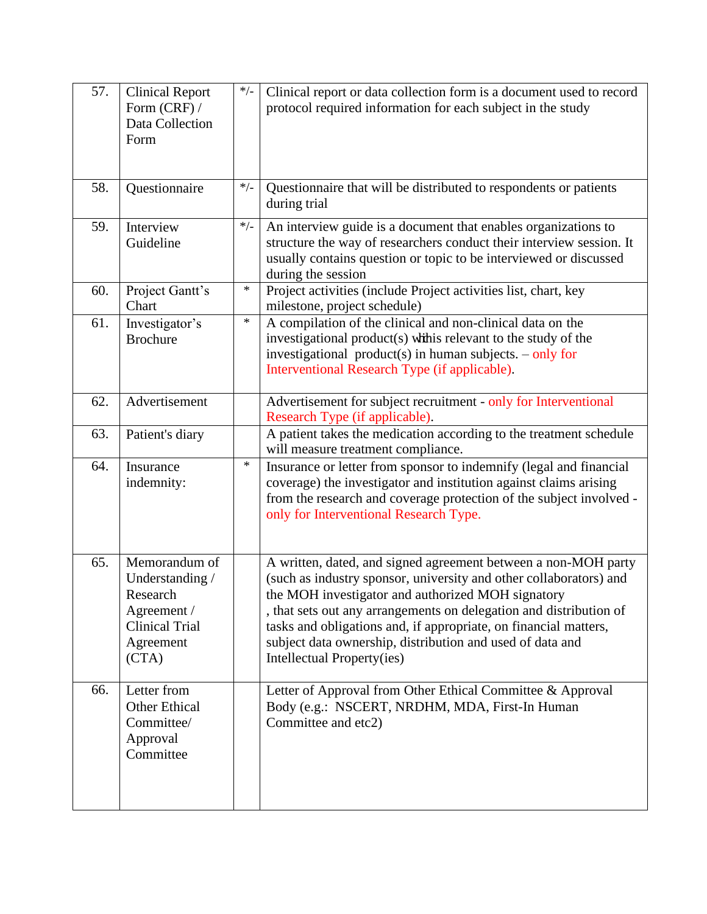| 57. | <b>Clinical Report</b><br>Form (CRF) /<br>Data Collection<br>Form                                          | $*/-$  | Clinical report or data collection form is a document used to record<br>protocol required information for each subject in the study                                                                                                                                                                                                                                                                                            |
|-----|------------------------------------------------------------------------------------------------------------|--------|--------------------------------------------------------------------------------------------------------------------------------------------------------------------------------------------------------------------------------------------------------------------------------------------------------------------------------------------------------------------------------------------------------------------------------|
| 58. | Questionnaire                                                                                              | $*/-$  | Questionnaire that will be distributed to respondents or patients<br>during trial                                                                                                                                                                                                                                                                                                                                              |
| 59. | Interview<br>Guideline                                                                                     | $*/-$  | An interview guide is a document that enables organizations to<br>structure the way of researchers conduct their interview session. It<br>usually contains question or topic to be interviewed or discussed<br>during the session                                                                                                                                                                                              |
| 60. | Project Gantt's<br>Chart                                                                                   | $\ast$ | Project activities (include Project activities list, chart, key<br>milestone, project schedule)                                                                                                                                                                                                                                                                                                                                |
| 61. | Investigator's<br><b>Brochure</b>                                                                          | $\ast$ | A compilation of the clinical and non-clinical data on the<br>investigational product(s) while relevant to the study of the<br>investigational product(s) in human subjects. $-$ only for<br>Interventional Research Type (if applicable).                                                                                                                                                                                     |
| 62. | Advertisement                                                                                              |        | Advertisement for subject recruitment - only for Interventional<br>Research Type (if applicable).                                                                                                                                                                                                                                                                                                                              |
| 63. | Patient's diary                                                                                            |        | A patient takes the medication according to the treatment schedule<br>will measure treatment compliance.                                                                                                                                                                                                                                                                                                                       |
| 64. | Insurance<br>indemnity:                                                                                    | $\ast$ | Insurance or letter from sponsor to indemnify (legal and financial<br>coverage) the investigator and institution against claims arising<br>from the research and coverage protection of the subject involved -<br>only for Interventional Research Type.                                                                                                                                                                       |
| 65. | Memorandum of<br>Understanding /<br>Research<br>Agreement /<br><b>Clinical Trial</b><br>Agreement<br>(CTA) |        | A written, dated, and signed agreement between a non-MOH party<br>(such as industry sponsor, university and other collaborators) and<br>the MOH investigator and authorized MOH signatory<br>, that sets out any arrangements on delegation and distribution of<br>tasks and obligations and, if appropriate, on financial matters,<br>subject data ownership, distribution and used of data and<br>Intellectual Property(ies) |
| 66. | Letter from<br><b>Other Ethical</b><br>Committee/<br>Approval<br>Committee                                 |        | Letter of Approval from Other Ethical Committee & Approval<br>Body (e.g.: NSCERT, NRDHM, MDA, First-In Human<br>Committee and etc2)                                                                                                                                                                                                                                                                                            |